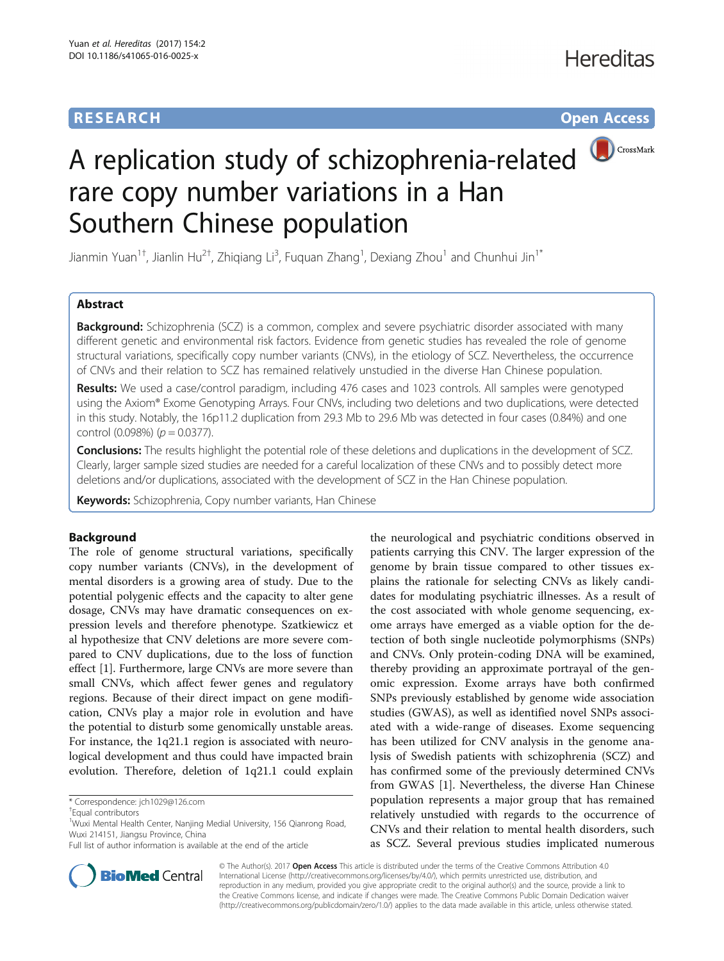# **RESEARCH RESEARCH** *CHECKER CHECKER CHECKER CHECKER CHECKER CHECKER CHECKER CHECKER CHECKER CHECKER CHECKER*



# A replication study of schizophrenia-related rare copy number variations in a Han Southern Chinese population

Jianmin Yuan $^{1\dagger}$ , Jianlin Hu $^{2\dagger}$ , Zhiqiang Li $^3$ , Fuquan Zhang $^1$ , Dexiang Zhou $^1$  and Chunhui Jin $^{1*}$ 

# Abstract

**Background:** Schizophrenia (SCZ) is a common, complex and severe psychiatric disorder associated with many different genetic and environmental risk factors. Evidence from genetic studies has revealed the role of genome structural variations, specifically copy number variants (CNVs), in the etiology of SCZ. Nevertheless, the occurrence of CNVs and their relation to SCZ has remained relatively unstudied in the diverse Han Chinese population.

Results: We used a case/control paradigm, including 476 cases and 1023 controls. All samples were genotyped using the Axiom® Exome Genotyping Arrays. Four CNVs, including two deletions and two duplications, were detected in this study. Notably, the 16p11.2 duplication from 29.3 Mb to 29.6 Mb was detected in four cases (0.84%) and one control (0.098%) ( $p = 0.0377$ ).

Conclusions: The results highlight the potential role of these deletions and duplications in the development of SCZ. Clearly, larger sample sized studies are needed for a careful localization of these CNVs and to possibly detect more deletions and/or duplications, associated with the development of SCZ in the Han Chinese population.

Keywords: Schizophrenia, Copy number variants, Han Chinese

## Background

The role of genome structural variations, specifically copy number variants (CNVs), in the development of mental disorders is a growing area of study. Due to the potential polygenic effects and the capacity to alter gene dosage, CNVs may have dramatic consequences on expression levels and therefore phenotype. Szatkiewicz et al hypothesize that CNV deletions are more severe compared to CNV duplications, due to the loss of function effect [[1\]](#page-3-0). Furthermore, large CNVs are more severe than small CNVs, which affect fewer genes and regulatory regions. Because of their direct impact on gene modification, CNVs play a major role in evolution and have the potential to disturb some genomically unstable areas. For instance, the 1q21.1 region is associated with neurological development and thus could have impacted brain evolution. Therefore, deletion of 1q21.1 could explain

\* Correspondence: [jch1029@126.com](mailto:jch1029@126.com) †

the neurological and psychiatric conditions observed in patients carrying this CNV. The larger expression of the genome by brain tissue compared to other tissues explains the rationale for selecting CNVs as likely candidates for modulating psychiatric illnesses. As a result of the cost associated with whole genome sequencing, exome arrays have emerged as a viable option for the detection of both single nucleotide polymorphisms (SNPs) and CNVs. Only protein-coding DNA will be examined, thereby providing an approximate portrayal of the genomic expression. Exome arrays have both confirmed SNPs previously established by genome wide association studies (GWAS), as well as identified novel SNPs associated with a wide-range of diseases. Exome sequencing has been utilized for CNV analysis in the genome analysis of Swedish patients with schizophrenia (SCZ) and has confirmed some of the previously determined CNVs from GWAS [\[1](#page-3-0)]. Nevertheless, the diverse Han Chinese population represents a major group that has remained relatively unstudied with regards to the occurrence of CNVs and their relation to mental health disorders, such as SCZ. Several previous studies implicated numerous



© The Author(s). 2017 **Open Access** This article is distributed under the terms of the Creative Commons Attribution 4.0 International License [\(http://creativecommons.org/licenses/by/4.0/](http://creativecommons.org/licenses/by/4.0/)), which permits unrestricted use, distribution, and reproduction in any medium, provided you give appropriate credit to the original author(s) and the source, provide a link to the Creative Commons license, and indicate if changes were made. The Creative Commons Public Domain Dedication waiver [\(http://creativecommons.org/publicdomain/zero/1.0/](http://creativecommons.org/publicdomain/zero/1.0/)) applies to the data made available in this article, unless otherwise stated.

Equal contributors

<sup>&</sup>lt;sup>1</sup>Wuxi Mental Health Center, Nanjing Medial University, 156 Qianrong Road, Wuxi 214151, Jiangsu Province, China

Full list of author information is available at the end of the article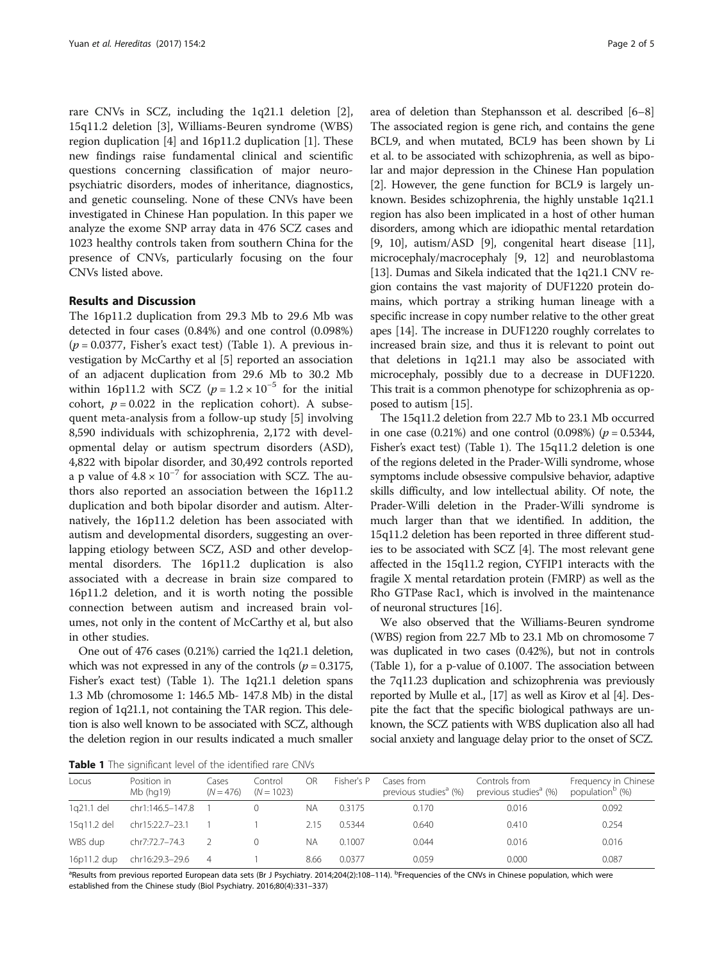rare CNVs in SCZ, including the 1q21.1 deletion [\[2](#page-3-0)], 15q11.2 deletion [\[3](#page-3-0)], Williams-Beuren syndrome (WBS) region duplication [\[4](#page-3-0)] and 16p11.2 duplication [\[1\]](#page-3-0). These new findings raise fundamental clinical and scientific questions concerning classification of major neuropsychiatric disorders, modes of inheritance, diagnostics, and genetic counseling. None of these CNVs have been investigated in Chinese Han population. In this paper we analyze the exome SNP array data in 476 SCZ cases and 1023 healthy controls taken from southern China for the presence of CNVs, particularly focusing on the four CNVs listed above.

## Results and Discussion

The 16p11.2 duplication from 29.3 Mb to 29.6 Mb was detected in four cases (0.84%) and one control (0.098%)  $(p = 0.0377,$  Fisher's exact test) (Table 1). A previous investigation by McCarthy et al [[5\]](#page-3-0) reported an association of an adjacent duplication from 29.6 Mb to 30.2 Mb within 16p11.2 with SCZ ( $p = 1.2 \times 10^{-5}$  for the initial cohort,  $p = 0.022$  in the replication cohort). A subsequent meta-analysis from a follow-up study [\[5\]](#page-3-0) involving 8,590 individuals with schizophrenia, 2,172 with developmental delay or autism spectrum disorders (ASD), 4,822 with bipolar disorder, and 30,492 controls reported a p value of  $4.8 \times 10^{-7}$  for association with SCZ. The authors also reported an association between the 16p11.2 duplication and both bipolar disorder and autism. Alternatively, the 16p11.2 deletion has been associated with autism and developmental disorders, suggesting an overlapping etiology between SCZ, ASD and other developmental disorders. The 16p11.2 duplication is also associated with a decrease in brain size compared to 16p11.2 deletion, and it is worth noting the possible connection between autism and increased brain volumes, not only in the content of McCarthy et al, but also in other studies.

One out of 476 cases (0.21%) carried the 1q21.1 deletion, which was not expressed in any of the controls ( $p = 0.3175$ , Fisher's exact test) (Table 1). The 1q21.1 deletion spans 1.3 Mb (chromosome 1: 146.5 Mb- 147.8 Mb) in the distal region of 1q21.1, not containing the TAR region. This deletion is also well known to be associated with SCZ, although the deletion region in our results indicated a much smaller area of deletion than Stephansson et al. described [[6](#page-4-0)–[8](#page-4-0)] The associated region is gene rich, and contains the gene BCL9, and when mutated, BCL9 has been shown by Li et al. to be associated with schizophrenia, as well as bipolar and major depression in the Chinese Han population [[2\]](#page-3-0). However, the gene function for BCL9 is largely unknown. Besides schizophrenia, the highly unstable 1q21.1 region has also been implicated in a host of other human disorders, among which are idiopathic mental retardation [[9, 10\]](#page-4-0), autism/ASD [[9](#page-4-0)], congenital heart disease [[11](#page-4-0)], microcephaly/macrocephaly [\[9](#page-4-0), [12\]](#page-4-0) and neuroblastoma [[13](#page-4-0)]. Dumas and Sikela indicated that the 1q21.1 CNV region contains the vast majority of DUF1220 protein domains, which portray a striking human lineage with a specific increase in copy number relative to the other great apes [[14](#page-4-0)]. The increase in DUF1220 roughly correlates to increased brain size, and thus it is relevant to point out that deletions in 1q21.1 may also be associated with microcephaly, possibly due to a decrease in DUF1220. This trait is a common phenotype for schizophrenia as opposed to autism [\[15\]](#page-4-0).

The 15q11.2 deletion from 22.7 Mb to 23.1 Mb occurred in one case (0.21%) and one control (0.098%) ( $p = 0.5344$ , Fisher's exact test) (Table 1). The 15q11.2 deletion is one of the regions deleted in the Prader-Willi syndrome, whose symptoms include obsessive compulsive behavior, adaptive skills difficulty, and low intellectual ability. Of note, the Prader-Willi deletion in the Prader-Willi syndrome is much larger than that we identified. In addition, the 15q11.2 deletion has been reported in three different studies to be associated with SCZ [\[4\]](#page-3-0). The most relevant gene affected in the 15q11.2 region, CYFIP1 interacts with the fragile X mental retardation protein (FMRP) as well as the Rho GTPase Rac1, which is involved in the maintenance of neuronal structures [\[16\]](#page-4-0).

We also observed that the Williams-Beuren syndrome (WBS) region from 22.7 Mb to 23.1 Mb on chromosome 7 was duplicated in two cases (0.42%), but not in controls (Table 1), for a p-value of 0.1007. The association between the 7q11.23 duplication and schizophrenia was previously reported by Mulle et al., [\[17\]](#page-4-0) as well as Kirov et al [[4](#page-3-0)]. Despite the fact that the specific biological pathways are unknown, the SCZ patients with WBS duplication also all had social anxiety and language delay prior to the onset of SCZ.

Table 1 The significant level of the identified rare CNVs

| Locus       | Position in<br>Mb (hq19) | Cases<br>$(N = 476)$ | Control<br>$(N = 1023)$ | ΟR   | Fisher's P | Cases from<br>previous studies <sup>a</sup> (%) | Controls from<br>previous studies <sup>a</sup> (%) | Frequency in Chinese<br>population <sup>b</sup> (%) |
|-------------|--------------------------|----------------------|-------------------------|------|------------|-------------------------------------------------|----------------------------------------------------|-----------------------------------------------------|
| 1q21.1 del  | chr1:146.5-147.8         |                      | 0                       | ΝA   | 0.3175     | 0.170                                           | 0.016                                              | 0.092                                               |
| 15g11.2 del | chr15:22.7-23.1          |                      |                         | 215  | 0.5344     | 0.640                                           | 0.410                                              | 0.254                                               |
| WBS dup     | chr7:72.7-74.3           |                      | 0                       | ΝA   | 0.1007     | 0.044                                           | 0.016                                              | 0.016                                               |
| 16p11.2 dup | chr16:29.3-29.6          | 4                    |                         | 8.66 | 0.0377     | 0.059                                           | 0.000                                              | 0.087                                               |

<sup>a</sup>Results from previous reported European data sets (Br J Psychiatry. 2014;204(2):108–114). <sup>b</sup>Frequencies of the CNVs in Chinese population, which were established from the Chinese study (Biol Psychiatry. 2016;80(4):331–337)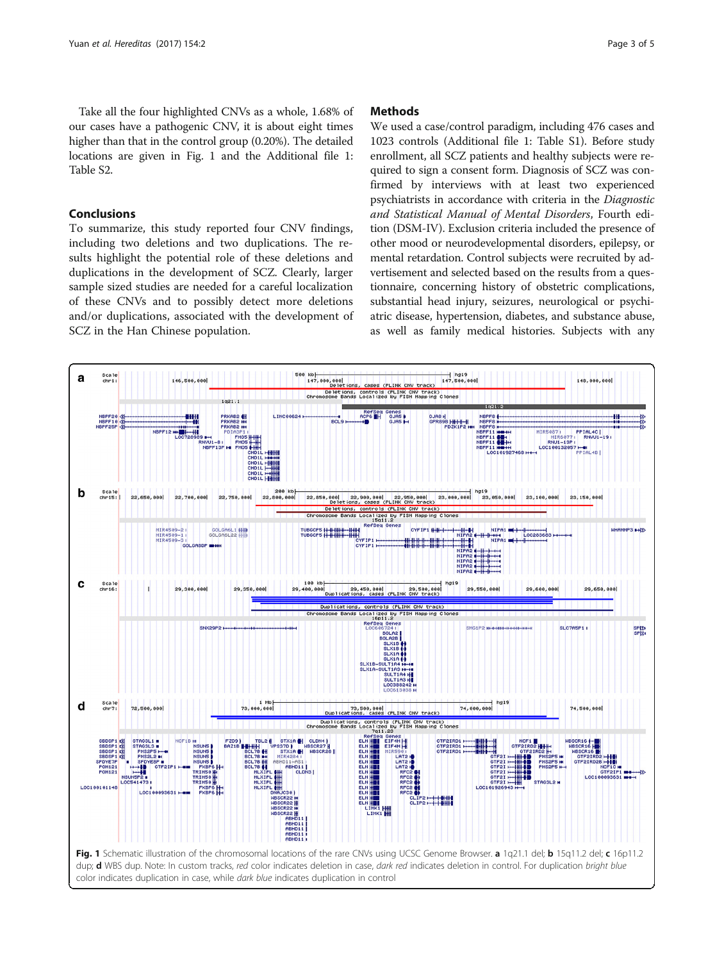Take all the four highlighted CNVs as a whole, 1.68% of our cases have a pathogenic CNV, it is about eight times higher than that in the control group (0.20%). The detailed locations are given in Fig. 1 and the Additional file [1](#page-3-0): Table S2.

## Conclusions

To summarize, this study reported four CNV findings, including two deletions and two duplications. The results highlight the potential role of these deletions and duplications in the development of SCZ. Clearly, larger sample sized studies are needed for a careful localization of these CNVs and to possibly detect more deletions and/or duplications, associated with the development of SCZ in the Han Chinese population.

## **Methods**

We used a case/control paradigm, including 476 cases and 1023 controls (Additional file [1:](#page-3-0) Table S1). Before study enrollment, all SCZ patients and healthy subjects were required to sign a consent form. Diagnosis of SCZ was confirmed by interviews with at least two experienced psychiatrists in accordance with criteria in the Diagnostic and Statistical Manual of Mental Disorders, Fourth edition (DSM-IV). Exclusion criteria included the presence of other mood or neurodevelopmental disorders, epilepsy, or mental retardation. Control subjects were recruited by advertisement and selected based on the results from a questionnaire, concerning history of obstetric complications, substantial head injury, seizures, neurological or psychiatric disease, hypertension, diabetes, and substance abuse, as well as family medical histories. Subjects with any

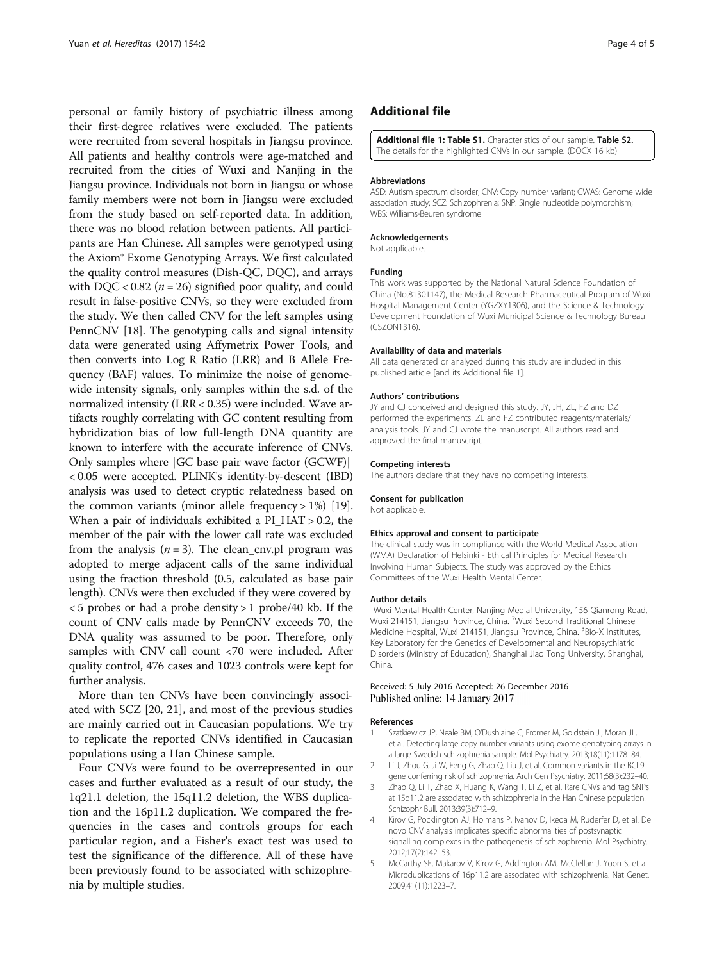<span id="page-3-0"></span>personal or family history of psychiatric illness among their first-degree relatives were excluded. The patients were recruited from several hospitals in Jiangsu province. All patients and healthy controls were age-matched and recruited from the cities of Wuxi and Nanjing in the Jiangsu province. Individuals not born in Jiangsu or whose family members were not born in Jiangsu were excluded from the study based on self-reported data. In addition, there was no blood relation between patients. All participants are Han Chinese. All samples were genotyped using the Axiom® Exome Genotyping Arrays. We first calculated the quality control measures (Dish-QC, DQC), and arrays with DQC < 0.82 ( $n = 26$ ) signified poor quality, and could result in false-positive CNVs, so they were excluded from the study. We then called CNV for the left samples using PennCNV [[18](#page-4-0)]. The genotyping calls and signal intensity data were generated using Affymetrix Power Tools, and then converts into Log R Ratio (LRR) and B Allele Frequency (BAF) values. To minimize the noise of genomewide intensity signals, only samples within the s.d. of the normalized intensity (LRR < 0.35) were included. Wave artifacts roughly correlating with GC content resulting from hybridization bias of low full-length DNA quantity are known to interfere with the accurate inference of CNVs. Only samples where |GC base pair wave factor (GCWF)| < 0.05 were accepted. PLINK's identity-by-descent (IBD) analysis was used to detect cryptic relatedness based on the common variants (minor allele frequency  $> 1\%$ ) [[19](#page-4-0)]. When a pair of individuals exhibited a PI\_HAT > 0.2, the member of the pair with the lower call rate was excluded from the analysis  $(n = 3)$ . The clean\_cnv.pl program was adopted to merge adjacent calls of the same individual using the fraction threshold (0.5, calculated as base pair length). CNVs were then excluded if they were covered by  $<$  5 probes or had a probe density > 1 probe/40 kb. If the count of CNV calls made by PennCNV exceeds 70, the DNA quality was assumed to be poor. Therefore, only samples with CNV call count <70 were included. After quality control, 476 cases and 1023 controls were kept for further analysis.

More than ten CNVs have been convincingly associated with SCZ [\[20](#page-4-0), [21](#page-4-0)], and most of the previous studies are mainly carried out in Caucasian populations. We try to replicate the reported CNVs identified in Caucasian populations using a Han Chinese sample.

Four CNVs were found to be overrepresented in our cases and further evaluated as a result of our study, the 1q21.1 deletion, the 15q11.2 deletion, the WBS duplication and the 16p11.2 duplication. We compared the frequencies in the cases and controls groups for each particular region, and a Fisher's exact test was used to test the significance of the difference. All of these have been previously found to be associated with schizophrenia by multiple studies.

## Additional file

[Additional file 1: Table S1.](dx.doi.org/10.1186/s41065-016-0025-x) Characteristics of our sample. Table S2. The details for the highlighted CNVs in our sample. (DOCX 16 kb)

#### Abbreviations

ASD: Autism spectrum disorder; CNV: Copy number variant; GWAS: Genome wide association study; SCZ: Schizophrenia; SNP: Single nucleotide polymorphism; WBS: Williams-Beuren syndrome

#### Acknowledgements

Not applicable.

#### Funding

This work was supported by the National Natural Science Foundation of China (No.81301147), the Medical Research Pharmaceutical Program of Wuxi Hospital Management Center (YGZXY1306), and the Science & Technology Development Foundation of Wuxi Municipal Science & Technology Bureau (CSZON1316).

#### Availability of data and materials

All data generated or analyzed during this study are included in this published article [and its Additional file 1].

#### Authors' contributions

JY and CJ conceived and designed this study. JY, JH, ZL, FZ and DZ performed the experiments. ZL and FZ contributed reagents/materials/ analysis tools. JY and CJ wrote the manuscript. All authors read and approved the final manuscript.

#### Competing interests

The authors declare that they have no competing interests.

#### Consent for publication

Not applicable.

#### Ethics approval and consent to participate

The clinical study was in compliance with the World Medical Association (WMA) Declaration of Helsinki - Ethical Principles for Medical Research Involving Human Subjects. The study was approved by the Ethics Committees of the Wuxi Health Mental Center.

#### Author details

<sup>1</sup>Wuxi Mental Health Center, Nanjing Medial University, 156 Qianrong Road, Wuxi 214151, Jiangsu Province, China. <sup>2</sup>Wuxi Second Traditional Chinese Medicine Hospital, Wuxi 214151, Jiangsu Province, China. <sup>3</sup>Bio-X Institutes Key Laboratory for the Genetics of Developmental and Neuropsychiatric Disorders (Ministry of Education), Shanghai Jiao Tong University, Shanghai, China.

### Received: 5 July 2016 Accepted: 26 December 2016 Published online: 14 January 2017

#### References

- 1. Szatkiewicz JP, Neale BM, O'Dushlaine C, Fromer M, Goldstein JI, Moran JL, et al. Detecting large copy number variants using exome genotyping arrays in a large Swedish schizophrenia sample. Mol Psychiatry. 2013;18(11):1178–84.
- 2. Li J, Zhou G, Ji W, Feng G, Zhao Q, Liu J, et al. Common variants in the BCL9 gene conferring risk of schizophrenia. Arch Gen Psychiatry. 2011;68(3):232–40.
- Zhao Q, Li T, Zhao X, Huang K, Wang T, Li Z, et al. Rare CNVs and tag SNPs at 15q11.2 are associated with schizophrenia in the Han Chinese population. Schizophr Bull. 2013;39(3):712–9.
- 4. Kirov G, Pocklington AJ, Holmans P, Ivanov D, Ikeda M, Ruderfer D, et al. De novo CNV analysis implicates specific abnormalities of postsynaptic signalling complexes in the pathogenesis of schizophrenia. Mol Psychiatry. 2012;17(2):142–53.
- 5. McCarthy SE, Makarov V, Kirov G, Addington AM, McClellan J, Yoon S, et al. Microduplications of 16p11.2 are associated with schizophrenia. Nat Genet. 2009;41(11):1223–7.